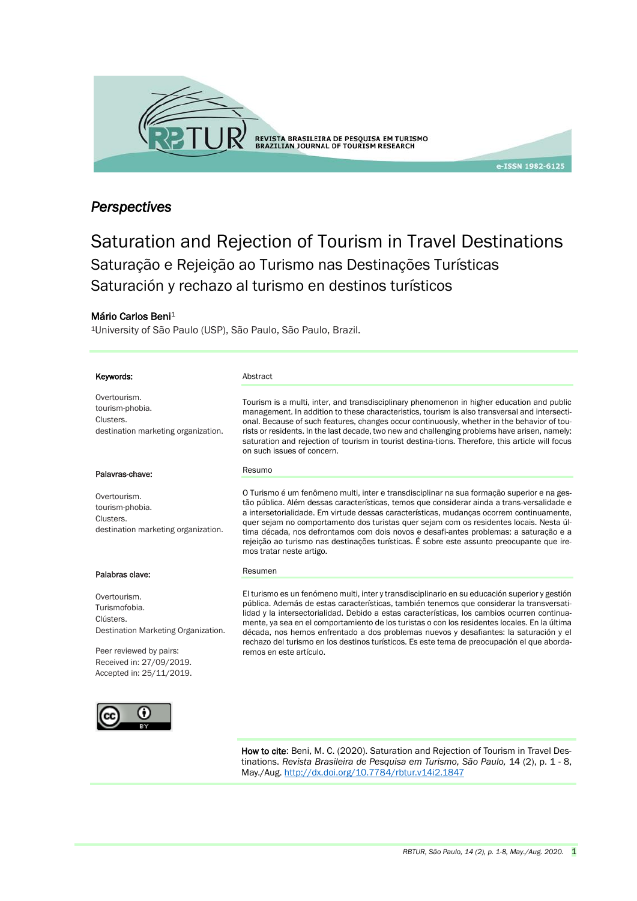

## *Perspectives*

# Saturation and Rejection of Tourism in Travel Destinations Saturação e Rejeição ao Turismo nas Destinações Turísticas Saturación y rechazo al turismo en destinos turísticos

#### Mário Carlos Beni<sup>1</sup>

<sup>1</sup>University of São Paulo (USP), São Paulo, São Paulo, Brazil.

| Keywords:                                                                                                    | Abstract                                                                                                                                                                                                                                                                                                                                                                                                                                                                                                                                                                                                        |
|--------------------------------------------------------------------------------------------------------------|-----------------------------------------------------------------------------------------------------------------------------------------------------------------------------------------------------------------------------------------------------------------------------------------------------------------------------------------------------------------------------------------------------------------------------------------------------------------------------------------------------------------------------------------------------------------------------------------------------------------|
| Overtourism.<br>tourism-phobia.<br>Clusters.<br>destination marketing organization.                          | Tourism is a multi, inter, and transdisciplinary phenomenon in higher education and public<br>management. In addition to these characteristics, tourism is also transversal and intersecti-<br>onal. Because of such features, changes occur continuously, whether in the behavior of tou-<br>rists or residents. In the last decade, two new and challenging problems have arisen, namely:<br>saturation and rejection of tourism in tourist destina-tions. Therefore, this article will focus<br>on such issues of concern.                                                                                   |
| Palavras-chave:                                                                                              | Resumo                                                                                                                                                                                                                                                                                                                                                                                                                                                                                                                                                                                                          |
| Overtourism.<br>tourism-phobia.<br>Clusters.<br>destination marketing organization.                          | O Turismo é um fenômeno multi, inter e transdisciplinar na sua formação superior e na ges-<br>tão pública. Além dessas características, temos que considerar ainda a trans-versalidade e<br>a intersetorialidade. Em virtude dessas características, mudancas ocorrem continuamente,<br>quer sejam no comportamento dos turistas quer sejam com os residentes locais. Nesta úl-<br>tima década, nos defrontamos com dois novos e desafi-antes problemas: a saturação e a<br>rejeição ao turismo nas destinações turísticas. É sobre este assunto preocupante que ire-<br>mos tratar neste artigo.               |
| Palabras clave:                                                                                              | Resumen                                                                                                                                                                                                                                                                                                                                                                                                                                                                                                                                                                                                         |
| Overtourism.<br>Turismofobia.<br>Clústers.<br>Destination Marketing Organization.<br>Peer reviewed by pairs: | El turismo es un fenómeno multi, inter y transdisciplinario en su educación superior y gestión<br>pública. Además de estas características, también tenemos que considerar la transversati-<br>lidad y la intersectorialidad. Debido a estas características, los cambios ocurren continua-<br>mente, ya sea en el comportamiento de los turistas o con los residentes locales. En la última<br>década, nos hemos enfrentado a dos problemas nuevos y desafiantes: la saturación y el<br>rechazo del turismo en los destinos turísticos. Es este tema de preocupación el que aborda-<br>remos en este artículo. |
| Received in: 27/09/2019.<br>Accepted in: 25/11/2019.                                                         |                                                                                                                                                                                                                                                                                                                                                                                                                                                                                                                                                                                                                 |
|                                                                                                              |                                                                                                                                                                                                                                                                                                                                                                                                                                                                                                                                                                                                                 |

 How to cite: Beni, M. C. (2020). Saturation and Rejection of Tourism in Travel Destinations. *Revista Brasileira de Pesquisa em Turismo, São Paulo,* 14 (2), p. 1 - 8, May./Aug. <http://dx.doi.org/10.7784/rbtur.v14i2.1847>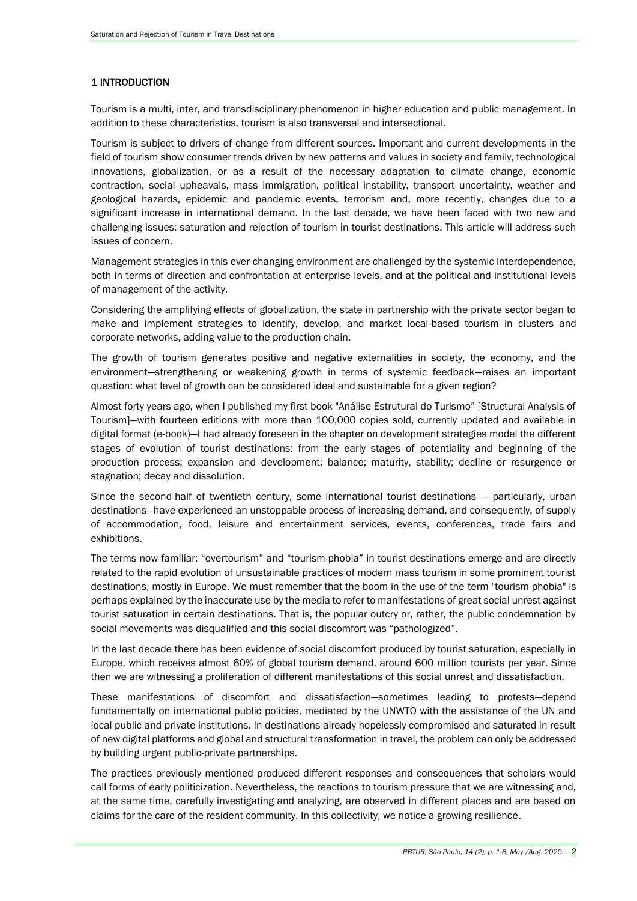## 1 INTRODUCTION

Tourism is a multi, inter, and transdisciplinary phenomenon in higher education and public management. In addition to these characteristics, tourism is also transversal and intersectional.

Tourism is subject to drivers of change from different sources. Important and current developments in the field of tourism show consumer trends driven by new patterns and values in society and family, technological innovations, globalization, or as a result of the necessary adaptation to climate change, economic contraction, social upheavals, mass immigration, political instability, transport uncertainty, weather and geological hazards, epidemic and pandemic events, terrorism and, more recently, changes due to a significant increase in international demand. In the last decade, we have been faced with two new and challenging issues: saturation and rejection of tourism in tourist destinations. This article will address such issues of concern.

Management strategies in this ever-changing environment are challenged by the systemic interdependence, both in terms of direction and confrontation at enterprise levels, and at the political and institutional levels of management of the activity.

Considering the amplifying effects of globalization, the state in partnership with the private sector began to make and implement strategies to identify, develop, and market local-based tourism in clusters and corporate networks, adding value to the production chain.

The growth of tourism generates positive and negative externalities in society, the economy, and the environment—strengthening or weakening growth in terms of systemic feedback—raises an important question: what level of growth can be considered ideal and sustainable for a given region?

Almost forty years ago, when I published my first book "Análise Estrutural do Turismo" [Structural Analysis of Tourism]—with fourteen editions with more than 100,000 copies sold, currently updated and available in digital format (e-book)—I had already foreseen in the chapter on development strategies model the different stages of evolution of tourist destinations: from the early stages of potentiality and beginning of the production process; expansion and development; balance; maturity, stability; decline or resurgence or stagnation; decay and dissolution.

Since the second-half of twentieth century, some international tourist destinations — particularly, urban destinations—have experienced an unstoppable process of increasing demand, and consequently, of supply of accommodation, food, leisure and entertainment services, events, conferences, trade fairs and exhibitions.

The terms now familiar: "overtourism" and "tourism-phobia" in tourist destinations emerge and are directly related to the rapid evolution of unsustainable practices of modern mass tourism in some prominent tourist destinations, mostly in Europe. We must remember that the boom in the use of the term "tourism-phobia" is perhaps explained by the inaccurate use by the media to refer to manifestations of great social unrest against tourist saturation in certain destinations. That is, the popular outcry or, rather, the public condemnation by social movements was disqualified and this social discomfort was "pathologized".

In the last decade there has been evidence of social discomfort produced by tourist saturation, especially in Europe, which receives almost 60% of global tourism demand, around 600 million tourists per year. Since then we are witnessing a proliferation of different manifestations of this social unrest and dissatisfaction.

These manifestations of discomfort and dissatisfaction—sometimes leading to protests—depend fundamentally on international public policies, mediated by the UNWTO with the assistance of the UN and local public and private institutions. In destinations already hopelessly compromised and saturated in result of new digital platforms and global and structural transformation in travel, the problem can only be addressed by building urgent public-private partnerships.

The practices previously mentioned produced different responses and consequences that scholars would call forms of early politicization. Nevertheless, the reactions to tourism pressure that we are witnessing and, at the same time, carefully investigating and analyzing, are observed in different places and are based on claims for the care of the resident community. In this collectivity, we notice a growing resilience.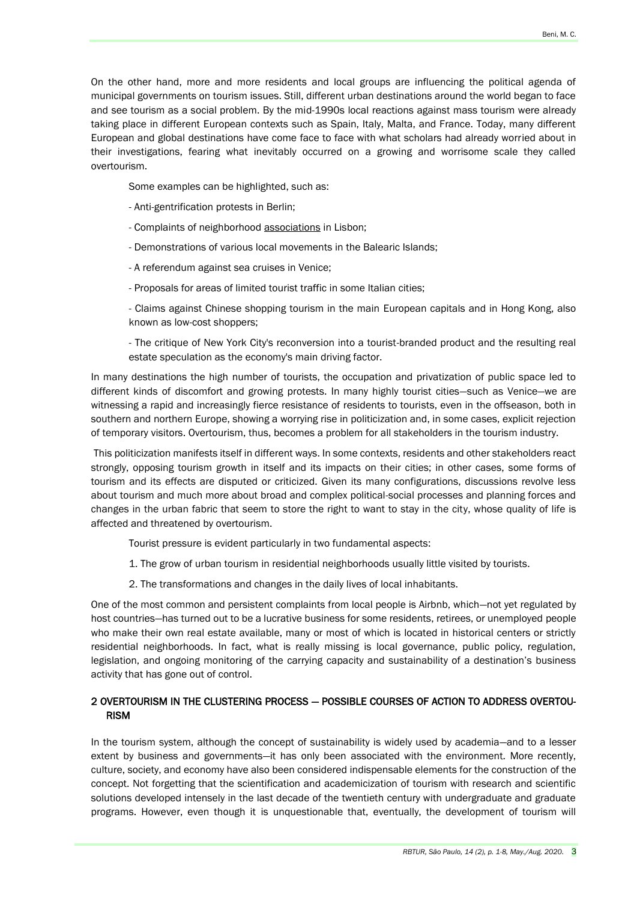On the other hand, more and more residents and local groups are influencing the political agenda of municipal governments on tourism issues. Still, different urban destinations around the world began to face and see tourism as a social problem. By the mid-1990s local reactions against mass tourism were already taking place in different European contexts such as Spain, Italy, Malta, and France. Today, many different European and global destinations have come face to face with what scholars had already worried about in their investigations, fearing what inevitably occurred on a growing and worrisome scale they called overtourism.

Some examples can be highlighted, such as:

- Anti-gentrification protests in Berlin;
- Complaints of neighborhood associations in Lisbon;
- Demonstrations of various local movements in the Balearic Islands;
- A referendum against sea cruises in Venice;
- Proposals for areas of limited tourist traffic in some Italian cities;

- Claims against Chinese shopping tourism in the main European capitals and in Hong Kong, also known as low-cost shoppers;

- The critique of New York City's reconversion into a tourist-branded product and the resulting real estate speculation as the economy's main driving factor.

In many destinations the high number of tourists, the occupation and privatization of public space led to different kinds of discomfort and growing protests. In many highly tourist cities—such as Venice—we are witnessing a rapid and increasingly fierce resistance of residents to tourists, even in the offseason, both in southern and northern Europe, showing a worrying rise in politicization and, in some cases, explicit rejection of temporary visitors. Overtourism, thus, becomes a problem for all stakeholders in the tourism industry.

This politicization manifests itself in different ways. In some contexts, residents and other stakeholders react strongly, opposing tourism growth in itself and its impacts on their cities; in other cases, some forms of tourism and its effects are disputed or criticized. Given its many configurations, discussions revolve less about tourism and much more about broad and complex political-social processes and planning forces and changes in the urban fabric that seem to store the right to want to stay in the city, whose quality of life is affected and threatened by overtourism.

Tourist pressure is evident particularly in two fundamental aspects:

- 1. The grow of urban tourism in residential neighborhoods usually little visited by tourists.
- 2. The transformations and changes in the daily lives of local inhabitants.

One of the most common and persistent complaints from local people is Airbnb, which—not yet regulated by host countries—has turned out to be a lucrative business for some residents, retirees, or unemployed people who make their own real estate available, many or most of which is located in historical centers or strictly residential neighborhoods. In fact, what is really missing is local governance, public policy, regulation, legislation, and ongoing monitoring of the carrying capacity and sustainability of a destination's business activity that has gone out of control.

## 2 OVERTOURISM IN THE CLUSTERING PROCESS — POSSIBLE COURSES OF ACTION TO ADDRESS OVERTOU-RISM

In the tourism system, although the concept of sustainability is widely used by academia—and to a lesser extent by business and governments—it has only been associated with the environment. More recently, culture, society, and economy have also been considered indispensable elements for the construction of the concept. Not forgetting that the scientification and academicization of tourism with research and scientific solutions developed intensely in the last decade of the twentieth century with undergraduate and graduate programs. However, even though it is unquestionable that, eventually, the development of tourism will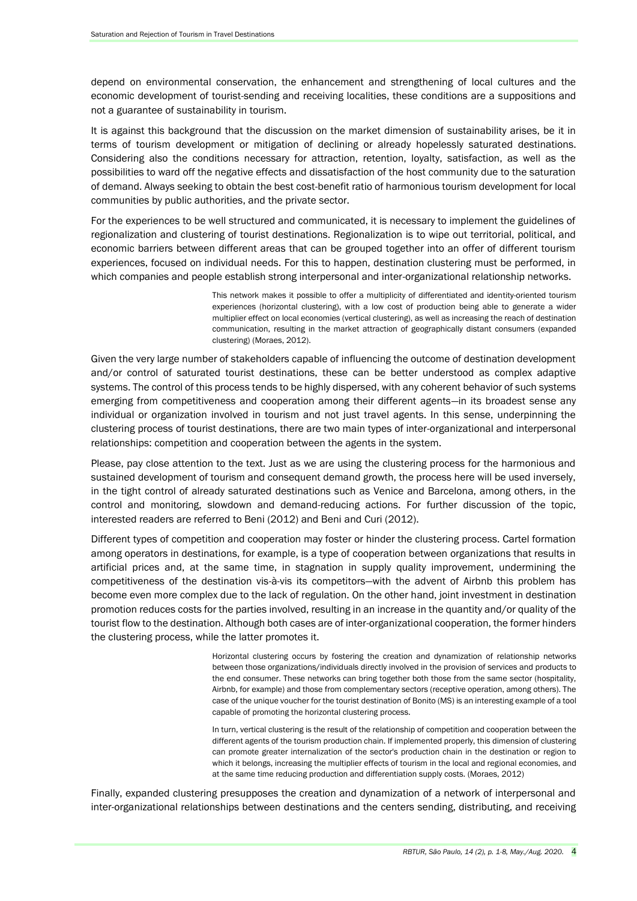depend on environmental conservation, the enhancement and strengthening of local cultures and the economic development of tourist-sending and receiving localities, these conditions are a suppositions and not a guarantee of sustainability in tourism.

It is against this background that the discussion on the market dimension of sustainability arises, be it in terms of tourism development or mitigation of declining or already hopelessly saturated destinations. Considering also the conditions necessary for attraction, retention, loyalty, satisfaction, as well as the possibilities to ward off the negative effects and dissatisfaction of the host community due to the saturation of demand. Always seeking to obtain the best cost-benefit ratio of harmonious tourism development for local communities by public authorities, and the private sector.

For the experiences to be well structured and communicated, it is necessary to implement the guidelines of regionalization and clustering of tourist destinations. Regionalization is to wipe out territorial, political, and economic barriers between different areas that can be grouped together into an offer of different tourism experiences, focused on individual needs. For this to happen, destination clustering must be performed, in which companies and people establish strong interpersonal and inter-organizational relationship networks.

> This network makes it possible to offer a multiplicity of differentiated and identity-oriented tourism experiences (horizontal clustering), with a low cost of production being able to generate a wider multiplier effect on local economies (vertical clustering), as well as increasing the reach of destination communication, resulting in the market attraction of geographically distant consumers (expanded clustering) (Moraes, 2012).

Given the very large number of stakeholders capable of influencing the outcome of destination development and/or control of saturated tourist destinations, these can be better understood as complex adaptive systems. The control of this process tends to be highly dispersed, with any coherent behavior of such systems emerging from competitiveness and cooperation among their different agents—in its broadest sense any individual or organization involved in tourism and not just travel agents. In this sense, underpinning the clustering process of tourist destinations, there are two main types of inter-organizational and interpersonal relationships: competition and cooperation between the agents in the system.

Please, pay close attention to the text. Just as we are using the clustering process for the harmonious and sustained development of tourism and consequent demand growth, the process here will be used inversely, in the tight control of already saturated destinations such as Venice and Barcelona, among others, in the control and monitoring, slowdown and demand-reducing actions. For further discussion of the topic, interested readers are referred to Beni (2012) and Beni and Curi (2012).

Different types of competition and cooperation may foster or hinder the clustering process. Cartel formation among operators in destinations, for example, is a type of cooperation between organizations that results in artificial prices and, at the same time, in stagnation in supply quality improvement, undermining the competitiveness of the destination vis-à-vis its competitors—with the advent of Airbnb this problem has become even more complex due to the lack of regulation. On the other hand, joint investment in destination promotion reduces costs for the parties involved, resulting in an increase in the quantity and/or quality of the tourist flow to the destination. Although both cases are of inter-organizational cooperation, the former hinders the clustering process, while the latter promotes it.

> Horizontal clustering occurs by fostering the creation and dynamization of relationship networks between those organizations/individuals directly involved in the provision of services and products to the end consumer. These networks can bring together both those from the same sector (hospitality, Airbnb, for example) and those from complementary sectors (receptive operation, among others). The case of the unique voucher for the tourist destination of Bonito (MS) is an interesting example of a tool capable of promoting the horizontal clustering process.

> In turn, vertical clustering is the result of the relationship of competition and cooperation between the different agents of the tourism production chain. If implemented properly, this dimension of clustering can promote greater internalization of the sector's production chain in the destination or region to which it belongs, increasing the multiplier effects of tourism in the local and regional economies, and at the same time reducing production and differentiation supply costs. (Moraes, 2012)

Finally, expanded clustering presupposes the creation and dynamization of a network of interpersonal and inter-organizational relationships between destinations and the centers sending, distributing, and receiving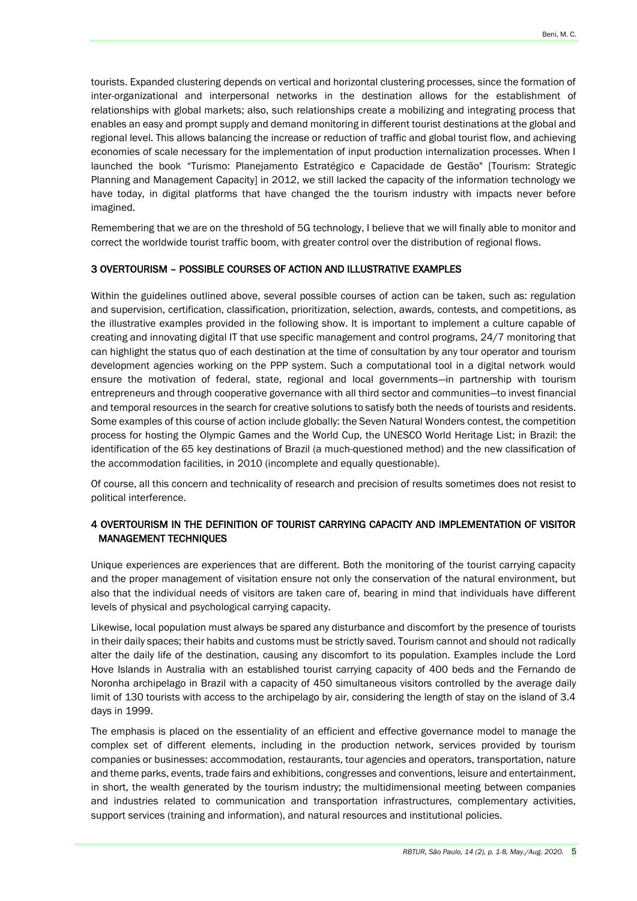tourists. Expanded clustering depends on vertical and horizontal clustering processes, since the formation of inter-organizational and interpersonal networks in the destination allows for the establishment of relationships with global markets; also, such relationships create a mobilizing and integrating process that enables an easy and prompt supply and demand monitoring in different tourist destinations at the global and regional level. This allows balancing the increase or reduction of traffic and global tourist flow, and achieving economies of scale necessary for the implementation of input production internalization processes. When I launched the book "Turismo: Planejamento Estratégico e Capacidade de Gestão" [Tourism: Strategic Planning and Management Capacity] in 2012, we still lacked the capacity of the information technology we have today, in digital platforms that have changed the the tourism industry with impacts never before imagined.

Remembering that we are on the threshold of 5G technology, I believe that we will finally able to monitor and correct the worldwide tourist traffic boom, with greater control over the distribution of regional flows.

#### 3 OVERTOURISM – POSSIBLE COURSES OF ACTION AND ILLUSTRATIVE EXAMPLES

Within the guidelines outlined above, several possible courses of action can be taken, such as: regulation and supervision, certification, classification, prioritization, selection, awards, contests, and competitions, as the illustrative examples provided in the following show. It is important to implement a culture capable of creating and innovating digital IT that use specific management and control programs, 24/7 monitoring that can highlight the status quo of each destination at the time of consultation by any tour operator and tourism development agencies working on the PPP system. Such a computational tool in a digital network would ensure the motivation of federal, state, regional and local governments—in partnership with tourism entrepreneurs and through cooperative governance with all third sector and communities—to invest financial and temporal resources in the search for creative solutions to satisfy both the needs of tourists and residents. Some examples of this course of action include globally: the Seven Natural Wonders contest, the competition process for hosting the Olympic Games and the World Cup, the UNESCO World Heritage List; in Brazil: the identification of the 65 key destinations of Brazil (a much-questioned method) and the new classification of the accommodation facilities, in 2010 (incomplete and equally questionable).

Of course, all this concern and technicality of research and precision of results sometimes does not resist to political interference.

## 4 OVERTOURISM IN THE DEFINITION OF TOURIST CARRYING CAPACITY AND IMPLEMENTATION OF VISITOR MANAGEMENT TECHNIQUES

Unique experiences are experiences that are different. Both the monitoring of the tourist carrying capacity and the proper management of visitation ensure not only the conservation of the natural environment, but also that the individual needs of visitors are taken care of, bearing in mind that individuals have different levels of physical and psychological carrying capacity.

Likewise, local population must always be spared any disturbance and discomfort by the presence of tourists in their daily spaces; their habits and customs must be strictly saved. Tourism cannot and should not radically alter the daily life of the destination, causing any discomfort to its population. Examples include the Lord Hove Islands in Australia with an established tourist carrying capacity of 400 beds and the Fernando de Noronha archipelago in Brazil with a capacity of 450 simultaneous visitors controlled by the average daily limit of 130 tourists with access to the archipelago by air, considering the length of stay on the island of 3.4 days in 1999.

The emphasis is placed on the essentiality of an efficient and effective governance model to manage the complex set of different elements, including in the production network, services provided by tourism companies or businesses: accommodation, restaurants, tour agencies and operators, transportation, nature and theme parks, events, trade fairs and exhibitions, congresses and conventions, leisure and entertainment, in short, the wealth generated by the tourism industry; the multidimensional meeting between companies and industries related to communication and transportation infrastructures, complementary activities, support services (training and information), and natural resources and institutional policies.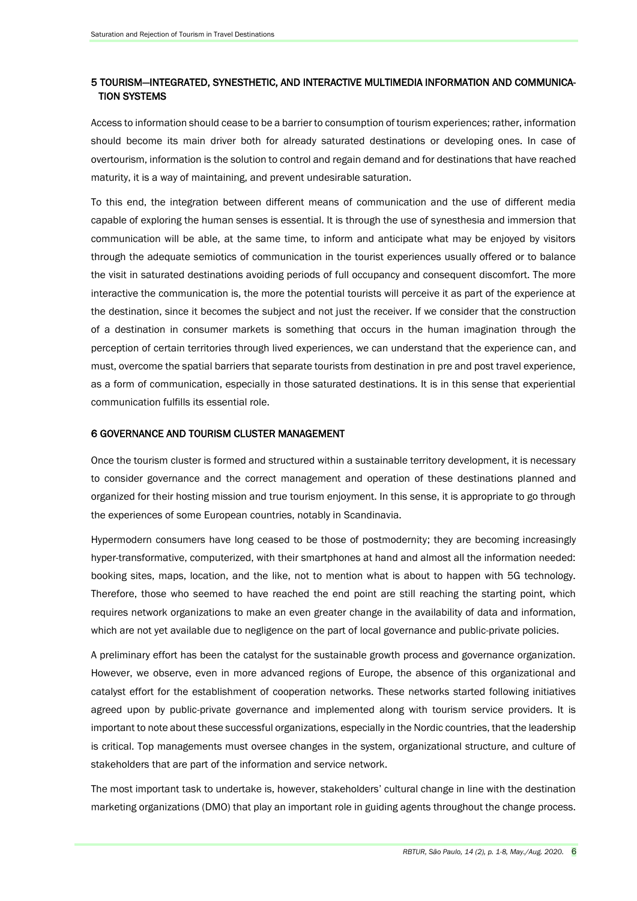## 5 TOURISM—INTEGRATED, SYNESTHETIC, AND INTERACTIVE MULTIMEDIA INFORMATION AND COMMUNICA-TION SYSTEMS

Access to information should cease to be a barrier to consumption of tourism experiences; rather, information should become its main driver both for already saturated destinations or developing ones. In case of overtourism, information is the solution to control and regain demand and for destinations that have reached maturity, it is a way of maintaining, and prevent undesirable saturation.

To this end, the integration between different means of communication and the use of different media capable of exploring the human senses is essential. It is through the use of synesthesia and immersion that communication will be able, at the same time, to inform and anticipate what may be enjoyed by visitors through the adequate semiotics of communication in the tourist experiences usually offered or to balance the visit in saturated destinations avoiding periods of full occupancy and consequent discomfort. The more interactive the communication is, the more the potential tourists will perceive it as part of the experience at the destination, since it becomes the subject and not just the receiver. If we consider that the construction of a destination in consumer markets is something that occurs in the human imagination through the perception of certain territories through lived experiences, we can understand that the experience can, and must, overcome the spatial barriers that separate tourists from destination in pre and post travel experience, as a form of communication, especially in those saturated destinations. It is in this sense that experiential communication fulfills its essential role.

#### 6 GOVERNANCE AND TOURISM CLUSTER MANAGEMENT

Once the tourism cluster is formed and structured within a sustainable territory development, it is necessary to consider governance and the correct management and operation of these destinations planned and organized for their hosting mission and true tourism enjoyment. In this sense, it is appropriate to go through the experiences of some European countries, notably in Scandinavia.

Hypermodern consumers have long ceased to be those of postmodernity; they are becoming increasingly hyper-transformative, computerized, with their smartphones at hand and almost all the information needed: booking sites, maps, location, and the like, not to mention what is about to happen with 5G technology. Therefore, those who seemed to have reached the end point are still reaching the starting point, which requires network organizations to make an even greater change in the availability of data and information, which are not vet available due to negligence on the part of local governance and public-private policies.

A preliminary effort has been the catalyst for the sustainable growth process and governance organization. However, we observe, even in more advanced regions of Europe, the absence of this organizational and catalyst effort for the establishment of cooperation networks. These networks started following initiatives agreed upon by public-private governance and implemented along with tourism service providers. It is important to note about these successful organizations, especially in the Nordic countries, that the leadership is critical. Top managements must oversee changes in the system, organizational structure, and culture of stakeholders that are part of the information and service network.

The most important task to undertake is, however, stakeholders' cultural change in line with the destination marketing organizations (DMO) that play an important role in guiding agents throughout the change process.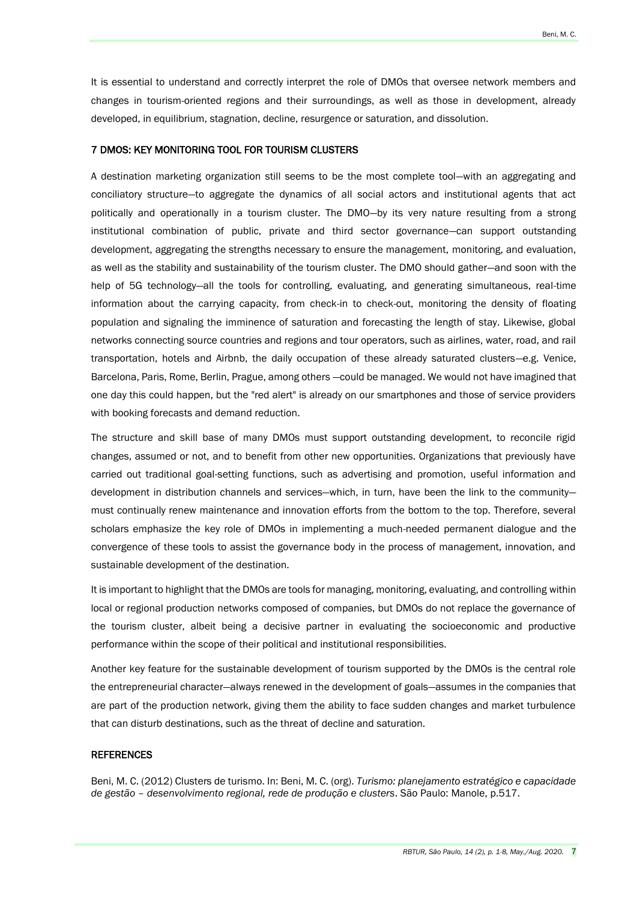It is essential to understand and correctly interpret the role of DMOs that oversee network members and changes in tourism-oriented regions and their surroundings, as well as those in development, already developed, in equilibrium, stagnation, decline, resurgence or saturation, and dissolution.

#### 7 DMOS: KEY MONITORING TOOL FOR TOURISM CLUSTERS

A destination marketing organization still seems to be the most complete tool—with an aggregating and conciliatory structure—to aggregate the dynamics of all social actors and institutional agents that act politically and operationally in a tourism cluster. The DMO—by its very nature resulting from a strong institutional combination of public, private and third sector governance—can support outstanding development, aggregating the strengths necessary to ensure the management, monitoring, and evaluation, as well as the stability and sustainability of the tourism cluster. The DMO should gather—and soon with the help of 5G technology—all the tools for controlling, evaluating, and generating simultaneous, real-time information about the carrying capacity, from check-in to check-out, monitoring the density of floating population and signaling the imminence of saturation and forecasting the length of stay. Likewise, global networks connecting source countries and regions and tour operators, such as airlines, water, road, and rail transportation, hotels and Airbnb, the daily occupation of these already saturated clusters—e.g. Venice, Barcelona, Paris, Rome, Berlin, Prague, among others —could be managed. We would not have imagined that one day this could happen, but the "red alert" is already on our smartphones and those of service providers with booking forecasts and demand reduction.

The structure and skill base of many DMOs must support outstanding development, to reconcile rigid changes, assumed or not, and to benefit from other new opportunities. Organizations that previously have carried out traditional goal-setting functions, such as advertising and promotion, useful information and development in distribution channels and services—which, in turn, have been the link to the community must continually renew maintenance and innovation efforts from the bottom to the top. Therefore, several scholars emphasize the key role of DMOs in implementing a much-needed permanent dialogue and the convergence of these tools to assist the governance body in the process of management, innovation, and sustainable development of the destination.

It is important to highlight that the DMOs are tools for managing, monitoring, evaluating, and controlling within local or regional production networks composed of companies, but DMOs do not replace the governance of the tourism cluster, albeit being a decisive partner in evaluating the socioeconomic and productive performance within the scope of their political and institutional responsibilities.

Another key feature for the sustainable development of tourism supported by the DMOs is the central role the entrepreneurial character—always renewed in the development of goals—assumes in the companies that are part of the production network, giving them the ability to face sudden changes and market turbulence that can disturb destinations, such as the threat of decline and saturation.

#### **REFERENCES**

Beni, M. C. (2012) Clusters de turismo. In: Beni, M. C. (org). *Turismo: planejamento estratégico e capacidade de gestão – desenvolvimento regional, rede de produção e clusters*. São Paulo: Manole, p.517.